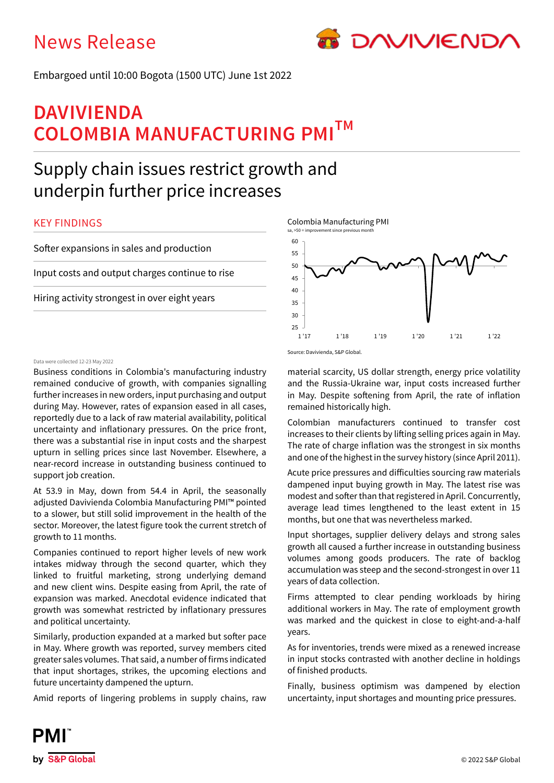# News Release



Embargoed until 10:00 Bogota (1500 UTC) June 1st 2022

# **DAVIVIENDA COLOMBIA MANUFACTURING PMITM**

# Supply chain issues restrict growth and underpin further price increases

## KEY FINDINGS

Softer expansions in sales and production

Input costs and output charges continue to rise

Hiring activity strongest in over eight years

## Data were collected 12-23 May 2022

Business conditions in Colombia's manufacturing industry remained conducive of growth, with companies signalling further increases in new orders, input purchasing and output during May. However, rates of expansion eased in all cases, reportedly due to a lack of raw material availability, political uncertainty and inflationary pressures. On the price front, there was a substantial rise in input costs and the sharpest upturn in selling prices since last November. Elsewhere, a near-record increase in outstanding business continued to support job creation.

At 53.9 in May, down from 54.4 in April, the seasonally adjusted Davivienda Colombia Manufacturing PMI™ pointed to a slower, but still solid improvement in the health of the sector. Moreover, the latest figure took the current stretch of growth to 11 months.

Companies continued to report higher levels of new work intakes midway through the second quarter, which they linked to fruitful marketing, strong underlying demand and new client wins. Despite easing from April, the rate of expansion was marked. Anecdotal evidence indicated that growth was somewhat restricted by inflationary pressures and political uncertainty.

Similarly, production expanded at a marked but softer pace in May. Where growth was reported, survey members cited greater sales volumes. That said, a number of firms indicated that input shortages, strikes, the upcoming elections and future uncertainty dampened the upturn.

Amid reports of lingering problems in supply chains, raw



Source: Davivienda, S&P Global.

material scarcity, US dollar strength, energy price volatility and the Russia-Ukraine war, input costs increased further in May. Despite softening from April, the rate of inflation remained historically high.

Colombian manufacturers continued to transfer cost increases to their clients by lifting selling prices again in May. The rate of charge inflation was the strongest in six months and one of the highest in the survey history (since April 2011).

Acute price pressures and difficulties sourcing raw materials dampened input buying growth in May. The latest rise was modest and softer than that registered in April. Concurrently, average lead times lengthened to the least extent in 15 months, but one that was nevertheless marked.

Input shortages, supplier delivery delays and strong sales growth all caused a further increase in outstanding business volumes among goods producers. The rate of backlog accumulation was steep and the second-strongest in over 11 years of data collection.

Firms attempted to clear pending workloads by hiring additional workers in May. The rate of employment growth was marked and the quickest in close to eight-and-a-half years.

As for inventories, trends were mixed as a renewed increase in input stocks contrasted with another decline in holdings of finished products.

Finally, business optimism was dampened by election uncertainty, input shortages and mounting price pressures.